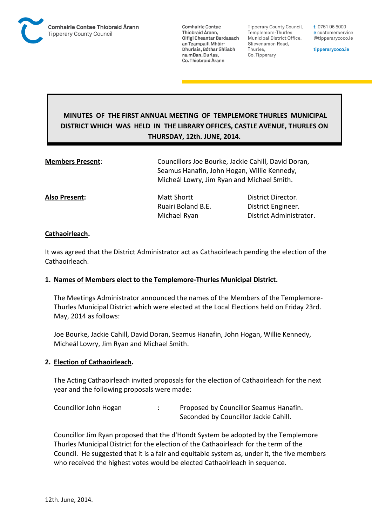

**Comhairle Contae** Thiobraid Árann. Oifigí Cheantar Bardasach an Teampaill Mhóir-Dhurlais, Bóthar Shliabh na mBan, Durlas. Co. Thiobraid Árann

Tipperary County Council. Templemore-Thurles Municipal District Office, Slievenamon Road, Thurles, Co. Tipperary

t 0761 06 5000 e customerservice @tipperarycoco.ie

tipperarycoco.ie

# **MINUTES OF THE FIRST ANNUAL MEETING OF TEMPLEMORE THURLES MUNICIPAL DISTRICT WHICH WAS HELD IN THE LIBRARY OFFICES, CASTLE AVENUE, THURLES ON THURSDAY, 12th. JUNE, 2014.**

**Members Present**: Councillors Joe Bourke, Jackie Cahill, David Doran, Seamus Hanafin, John Hogan, Willie Kennedy, Micheál Lowry, Jim Ryan and Michael Smith.

**Also Present:** Matt Shortt **District Director.** Ruairi Boland B.E. District Engineer.

Michael Ryan District Administrator.

## **Cathaoirleach.**

It was agreed that the District Administrator act as Cathaoirleach pending the election of the Cathaoirleach.

### **1. Names of Members elect to the Templemore-Thurles Municipal District.**

The Meetings Administrator announced the names of the Members of the Templemore-Thurles Municipal District which were elected at the Local Elections held on Friday 23rd. May, 2014 as follows:

Joe Bourke, Jackie Cahill, David Doran, Seamus Hanafin, John Hogan, Willie Kennedy, Micheál Lowry, Jim Ryan and Michael Smith.

### **2. Election of Cathaoirleach.**

The Acting Cathaoirleach invited proposals for the election of Cathaoirleach for the next year and the following proposals were made:

Councillor John Hogan : Proposed by Councillor Seamus Hanafin. Seconded by Councillor Jackie Cahill.

Councillor Jim Ryan proposed that the d'Hondt System be adopted by the Templemore Thurles Municipal District for the election of the Cathaoirleach for the term of the Council. He suggested that it is a fair and equitable system as, under it, the five members who received the highest votes would be elected Cathaoirleach in sequence.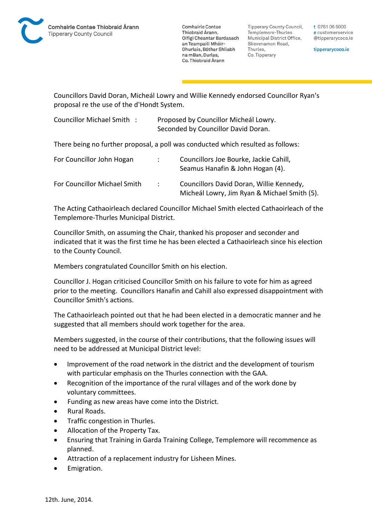**Comhairle Contae** Thiobraid Árann. Oifigí Cheantar Bardasach an Teampaill Mhóir-Dhurlais, Bóthar Shliabh na mBan, Durlas. Co. Thiobraid Árann

**Tipperary County Council,** Templemore-Thurles Municipal District Office, Slievenamon Road, Thurles, Co. Tipperary

t 0761 06 5000 e customerservice @tipperarycoco.ie

tipperarycoco.ie

Councillors David Doran, Micheál Lowry and Willie Kennedy endorsed Councillor Ryan's proposal re the use of the d'Hondt System.

| Councillor Michael Smith: | Proposed by Councillor Micheál Lowry. |
|---------------------------|---------------------------------------|
|                           | Seconded by Councillor David Doran.   |

There being no further proposal, a poll was conducted which resulted as follows:

| For Councillor John Hogan    |                  | Councillors Joe Bourke, Jackie Cahill,<br>Seamus Hanafin & John Hogan (4).               |
|------------------------------|------------------|------------------------------------------------------------------------------------------|
| For Councillor Michael Smith | $\sim$ 100 $\mu$ | Councillors David Doran, Willie Kennedy,<br>Micheál Lowry, Jim Ryan & Michael Smith (5). |

The Acting Cathaoirleach declared Councillor Michael Smith elected Cathaoirleach of the Templemore-Thurles Municipal District.

Councillor Smith, on assuming the Chair, thanked his proposer and seconder and indicated that it was the first time he has been elected a Cathaoirleach since his election to the County Council.

Members congratulated Councillor Smith on his election.

Councillor J. Hogan criticised Councillor Smith on his failure to vote for him as agreed prior to the meeting. Councillors Hanafin and Cahill also expressed disappointment with Councillor Smith's actions.

The Cathaoirleach pointed out that he had been elected in a democratic manner and he suggested that all members should work together for the area.

Members suggested, in the course of their contributions, that the following issues will need to be addressed at Municipal District level:

- Improvement of the road network in the district and the development of tourism with particular emphasis on the Thurles connection with the GAA.
- Recognition of the importance of the rural villages and of the work done by voluntary committees.
- Funding as new areas have come into the District.
- Rural Roads.
- Traffic congestion in Thurles.
- Allocation of the Property Tax.
- Ensuring that Training in Garda Training College, Templemore will recommence as planned.
- Attraction of a replacement industry for Lisheen Mines.
- **•** Emigration.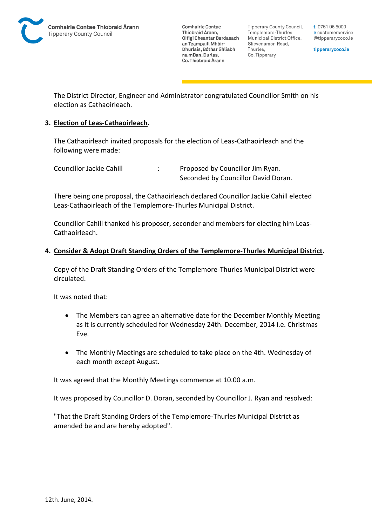

**Comhairle Contae** Thiobraid Árann, Oifigí Cheantar Bardasach an Teampaill Mhóir-Dhurlais, Bóthar Shliabh na mBan, Durlas. Co. Thiobraid Árann

**Tipperary County Council,** Templemore-Thurles Municipal District Office, Slievenamon Road, Thurles, Co. Tipperary

t 0761 06 5000 e customerservice @tipperarycoco.ie

tipperarycoco.ie

The District Director, Engineer and Administrator congratulated Councillor Smith on his election as Cathaoirleach.

### **3. Election of Leas-Cathaoirleach.**

The Cathaoirleach invited proposals for the election of Leas-Cathaoirleach and the following were made:

| Councillor Jackie Cahill | Proposed by Councillor Jim Ryan.    |
|--------------------------|-------------------------------------|
|                          | Seconded by Councillor David Doran. |

There being one proposal, the Cathaoirleach declared Councillor Jackie Cahill elected Leas-Cathaoirleach of the Templemore-Thurles Municipal District.

Councillor Cahill thanked his proposer, seconder and members for electing him Leas-Cathaoirleach.

## **4. Consider & Adopt Draft Standing Orders of the Templemore-Thurles Municipal District.**

Copy of the Draft Standing Orders of the Templemore-Thurles Municipal District were circulated.

It was noted that:

- The Members can agree an alternative date for the December Monthly Meeting as it is currently scheduled for Wednesday 24th. December, 2014 i.e. Christmas Eve.
- The Monthly Meetings are scheduled to take place on the 4th. Wednesday of each month except August.

It was agreed that the Monthly Meetings commence at 10.00 a.m.

It was proposed by Councillor D. Doran, seconded by Councillor J. Ryan and resolved:

"That the Draft Standing Orders of the Templemore-Thurles Municipal District as amended be and are hereby adopted".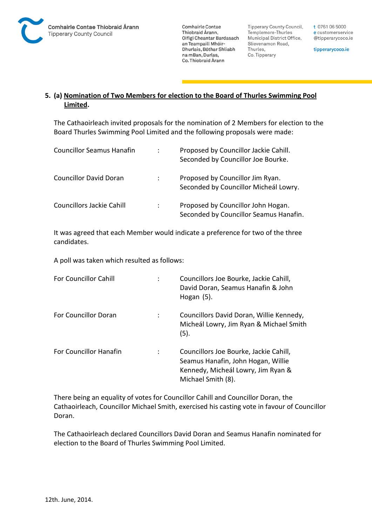

**Comhairle Contae** Thiobraid Árann, Oifigí Cheantar Bardasach an Teampaill Mhóir-Dhurlais, Bóthar Shliabh na mBan, Durlas. Co. Thiobraid Árann

**Tipperary County Council,** Templemore-Thurles Municipal District Office, Slievenamon Road, Thurles, Co. Tipperary

t 0761 06 5000 e customerservice @tipperarycoco.ie

tipperarycoco.ie

# **5. (a) Nomination of Two Members for election to the Board of Thurles Swimming Pool Limited.**

The Cathaoirleach invited proposals for the nomination of 2 Members for election to the Board Thurles Swimming Pool Limited and the following proposals were made:

| <b>Councillor Seamus Hanafin</b> | ÷              | Proposed by Councillor Jackie Cahill.<br>Seconded by Councillor Joe Bourke.  |
|----------------------------------|----------------|------------------------------------------------------------------------------|
| <b>Councillor David Doran</b>    |                | Proposed by Councillor Jim Ryan.<br>Seconded by Councillor Micheál Lowry.    |
| Councillors Jackie Cahill        | $\ddot{\cdot}$ | Proposed by Councillor John Hogan.<br>Seconded by Councillor Seamus Hanafin. |

It was agreed that each Member would indicate a preference for two of the three candidates.

A poll was taken which resulted as follows:

| <b>For Councillor Cahill</b>  | Councillors Joe Bourke, Jackie Cahill,<br>David Doran, Seamus Hanafin & John<br>Hogan $(5)$ .                                            |
|-------------------------------|------------------------------------------------------------------------------------------------------------------------------------------|
| <b>For Councillor Doran</b>   | Councillors David Doran, Willie Kennedy,<br>Micheál Lowry, Jim Ryan & Michael Smith<br>(5).                                              |
| <b>For Councillor Hanafin</b> | Councillors Joe Bourke, Jackie Cahill,<br>Seamus Hanafin, John Hogan, Willie<br>Kennedy, Micheál Lowry, Jim Ryan &<br>Michael Smith (8). |

There being an equality of votes for Councillor Cahill and Councillor Doran, the Cathaoirleach, Councillor Michael Smith, exercised his casting vote in favour of Councillor Doran.

The Cathaoirleach declared Councillors David Doran and Seamus Hanafin nominated for election to the Board of Thurles Swimming Pool Limited.